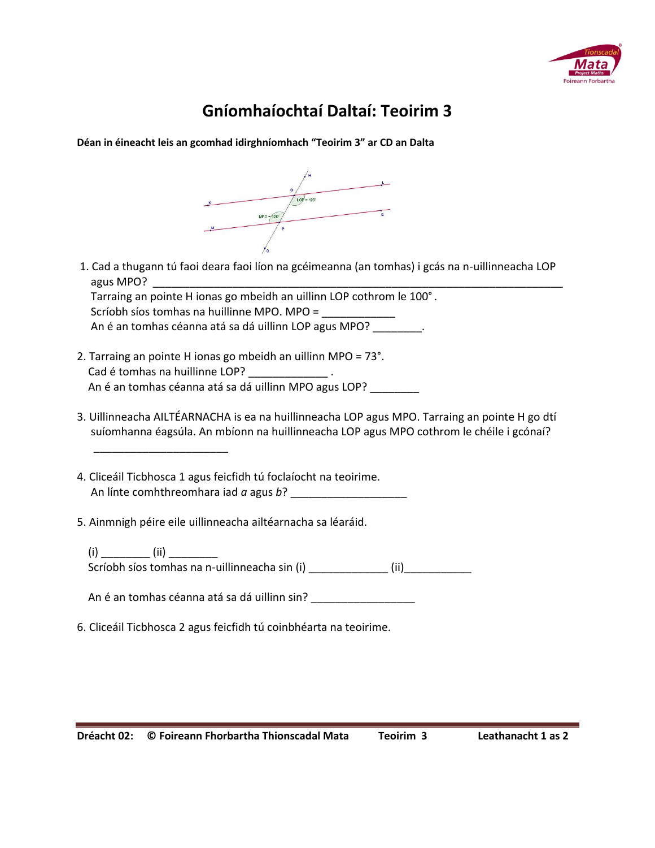

## **Gníomhaíochtaí Daltaí: Teoirim 3**

**Déan in éineacht leis an gcomhad idirghníomhach "Teoirim 3" ar CD an Dalta**



1. Cad a thugann tú faoi deara faoi líon na gcéimeanna (an tomhas) i gcás na n-uillinneacha LOP agus MPO?

 Tarraing an pointe H ionas go mbeidh an uillinn LOP cothrom le 100°. Scríobh síos tomhas na huillinne MPO. MPO = An é an tomhas céanna atá sa dá uillinn LOP agus MPO? \_\_\_\_\_\_\_\_\_.

- 2. Tarraing an pointe H ionas go mbeidh an uillinn MPO = 73°. Cad é tomhas na huillinne LOP? Los Longones An é an tomhas céanna atá sa dá uillinn MPO agus LOP? \_\_\_\_\_\_\_\_
- 3. Uillinneacha AILTÉARNACHA is ea na huillinneacha LOP agus MPO. Tarraing an pointe H go dtí suíomhanna éagsúla. An mbíonn na huillinneacha LOP agus MPO cothrom le chéile i gcónaí?

4. Cliceáil Ticbhosca 1 agus feicfidh tú foclaíocht na teoirime. An línte comhthreomhara iad *a* agus *b*? \_\_\_\_\_\_\_\_\_\_\_\_\_\_\_\_\_\_\_

5. Ainmnigh péire eile uillinneacha ailtéarnacha sa léaráid.

 $\frac{1}{\sqrt{2}}$  ,  $\frac{1}{\sqrt{2}}$  ,  $\frac{1}{\sqrt{2}}$  ,  $\frac{1}{\sqrt{2}}$  ,  $\frac{1}{\sqrt{2}}$  ,  $\frac{1}{\sqrt{2}}$  ,  $\frac{1}{\sqrt{2}}$  ,  $\frac{1}{\sqrt{2}}$  ,  $\frac{1}{\sqrt{2}}$  ,  $\frac{1}{\sqrt{2}}$  ,  $\frac{1}{\sqrt{2}}$  ,  $\frac{1}{\sqrt{2}}$  ,  $\frac{1}{\sqrt{2}}$  ,  $\frac{1}{\sqrt{2}}$  ,  $\frac{1}{\sqrt{2}}$ 

 (i) \_\_\_\_\_\_\_\_ (ii) \_\_\_\_\_\_\_\_  $\frac{1}{100}$  Scríobh síos tomhas na n-uillinneacha sin (i)  $\frac{1}{200}$  (ii)

An é an tomhas céanna atá sa dá uillinn sin? \_\_\_\_\_\_\_\_\_\_\_\_\_\_\_\_\_\_\_\_\_\_\_\_\_\_\_\_\_\_\_\_\_\_\_

6. Cliceáil Ticbhosca 2 agus feicfidh tú coinbhéarta na teoirime.